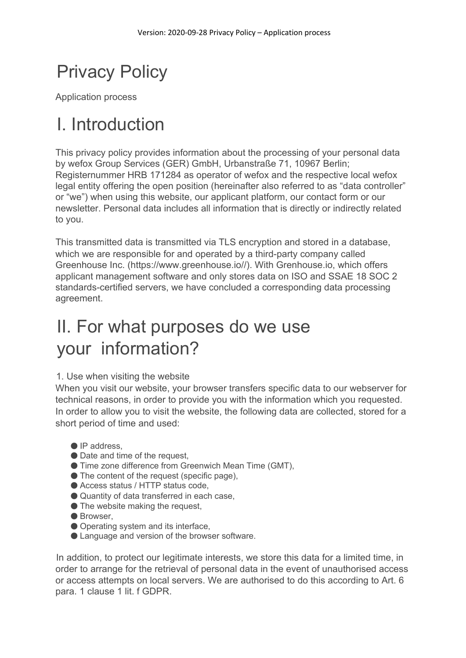# Privacy Policy

Application process

### I. Introduction

This privacy policy provides information about the processing of your personal data by wefox Group Services (GER) GmbH, Urbanstraße 71, 10967 Berlin; Registernummer HRB 171284 as operator of wefox and the respective local wefox legal entity offering the open position (hereinafter also referred to as "data controller" or "we") when using this website, our applicant platform, our contact form or our newsletter. Personal data includes all information that is directly or indirectly related to you.

This transmitted data is transmitted via TLS encryption and stored in a database, which we are responsible for and operated by a third-party company called Greenhouse Inc. (https://www.greenhouse.io//). With Grenhouse.io, which offers applicant management software and only stores data on ISO and SSAE 18 SOC 2 standards-certified servers, we have concluded a corresponding data processing agreement.

## II. For what purposes do we use your information?

#### 1. Use when visiting the website

When you visit our website, your browser transfers specific data to our webserver for technical reasons, in order to provide you with the information which you requested. In order to allow you to visit the website, the following data are collected, stored for a short period of time and used:

- IP address,
- Date and time of the request,
- Time zone difference from Greenwich Mean Time (GMT),
- The content of the request (specific page),
- Access status / HTTP status code,
- Quantity of data transferred in each case,
- The website making the request,
- Browser,
- Operating system and its interface,
- Language and version of the browser software.

In addition, to protect our legitimate interests, we store this data for a limited time, in order to arrange for the retrieval of personal data in the event of unauthorised access or access attempts on local servers. We are authorised to do this according to Art. 6 para. 1 clause 1 lit. f GDPR.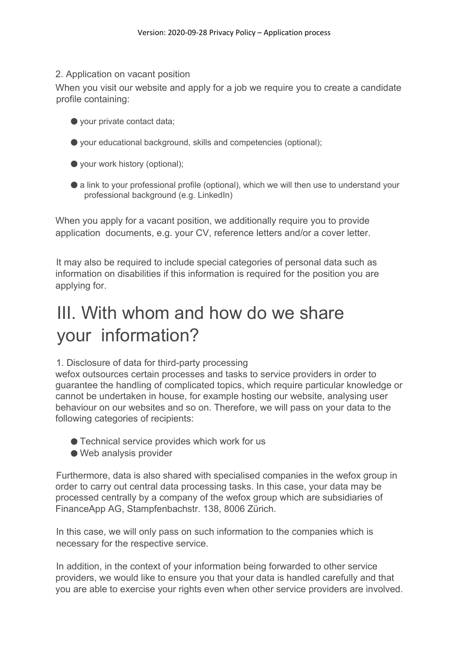#### 2. Application on vacant position

When you visit our website and apply for a job we require you to create a candidate profile containing:

- your private contact data;
- your educational background, skills and competencies (optional);
- your work history (optional);
- a link to your professional profile (optional), which we will then use to understand your professional background (e.g. LinkedIn)

When you apply for a vacant position, we additionally require you to provide application documents, e.g. your CV, reference letters and/or a cover letter.

It may also be required to include special categories of personal data such as information on disabilities if this information is required for the position you are applying for.

## III. With whom and how do we share your information?

#### 1. Disclosure of data for third-party processing

wefox outsources certain processes and tasks to service providers in order to guarantee the handling of complicated topics, which require particular knowledge or cannot be undertaken in house, for example hosting our website, analysing user behaviour on our websites and so on. Therefore, we will pass on your data to the following categories of recipients:

- Technical service provides which work for us
- Web analysis provider

Furthermore, data is also shared with specialised companies in the wefox group in order to carry out central data processing tasks. In this case, your data may be processed centrally by a company of the wefox group which are subsidiaries of FinanceApp AG, Stampfenbachstr. 138, 8006 Zürich.

In this case, we will only pass on such information to the companies which is necessary for the respective service.

In addition, in the context of your information being forwarded to other service providers, we would like to ensure you that your data is handled carefully and that you are able to exercise your rights even when other service providers are involved.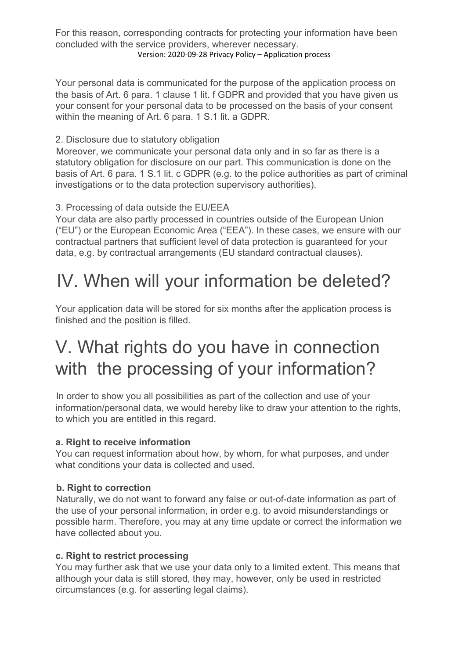For this reason, corresponding contracts for protecting your information have been concluded with the service providers, wherever necessary. Version: 2020-09-28 Privacy Policy – Application process

Your personal data is communicated for the purpose of the application process on the basis of Art. 6 para. 1 clause 1 lit. f GDPR and provided that you have given us your consent for your personal data to be processed on the basis of your consent within the meaning of Art. 6 para. 1 S.1 lit. a GDPR.

#### 2. Disclosure due to statutory obligation

Moreover, we communicate your personal data only and in so far as there is a statutory obligation for disclosure on our part. This communication is done on the basis of Art. 6 para. 1 S.1 lit. c GDPR (e.g. to the police authorities as part of criminal investigations or to the data protection supervisory authorities).

#### 3. Processing of data outside the EU/EEA

Your data are also partly processed in countries outside of the European Union ("EU") or the European Economic Area ("EEA"). In these cases, we ensure with our contractual partners that sufficient level of data protection is guaranteed for your data, e.g. by contractual arrangements (EU standard contractual clauses).

### IV. When will your information be deleted?

Your application data will be stored for six months after the application process is finished and the position is filled.

## V. What rights do you have in connection with the processing of your information?

In order to show you all possibilities as part of the collection and use of your information/personal data, we would hereby like to draw your attention to the rights, to which you are entitled in this regard.

#### **a. Right to receive information**

You can request information about how, by whom, for what purposes, and under what conditions your data is collected and used.

#### **b. Right to correction**

Naturally, we do not want to forward any false or out-of-date information as part of the use of your personal information, in order e.g. to avoid misunderstandings or possible harm. Therefore, you may at any time update or correct the information we have collected about you.

#### **c. Right to restrict processing**

You may further ask that we use your data only to a limited extent. This means that although your data is still stored, they may, however, only be used in restricted circumstances (e.g. for asserting legal claims).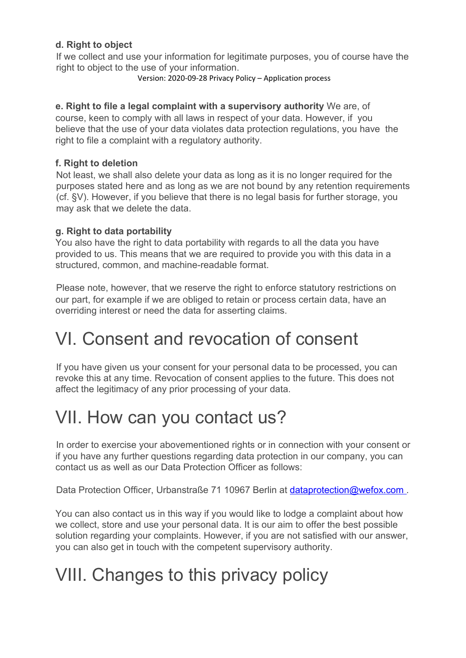#### **d. Right to object**

If we collect and use your information for legitimate purposes, you of course have the right to object to the use of your information.

Version: 2020-09-28 Privacy Policy – Application process

#### **e. Right to file a legal complaint with a supervisory authority** We are, of

course, keen to comply with all laws in respect of your data. However, if you believe that the use of your data violates data protection regulations, you have the right to file a complaint with a regulatory authority.

#### **f. Right to deletion**

Not least, we shall also delete your data as long as it is no longer required for the purposes stated here and as long as we are not bound by any retention requirements (cf. §V). However, if you believe that there is no legal basis for further storage, you may ask that we delete the data.

#### **g. Right to data portability**

You also have the right to data portability with regards to all the data you have provided to us. This means that we are required to provide you with this data in a structured, common, and machine-readable format.

Please note, however, that we reserve the right to enforce statutory restrictions on our part, for example if we are obliged to retain or process certain data, have an overriding interest or need the data for asserting claims.

### VI. Consent and revocation of consent

If you have given us your consent for your personal data to be processed, you can revoke this at any time. Revocation of consent applies to the future. This does not affect the legitimacy of any prior processing of your data.

### VII. How can you contact us?

In order to exercise your abovementioned rights or in connection with your consent or if you have any further questions regarding data protection in our company, you can contact us as well as our Data Protection Officer as follows:

Data Protection Officer, Urbanstraße 71 10967 Berlin at dataprotection@wefox.com.

You can also contact us in this way if you would like to lodge a complaint about how we collect, store and use your personal data. It is our aim to offer the best possible solution regarding your complaints. However, if you are not satisfied with our answer, you can also get in touch with the competent supervisory authority.

# VIII. Changes to this privacy policy